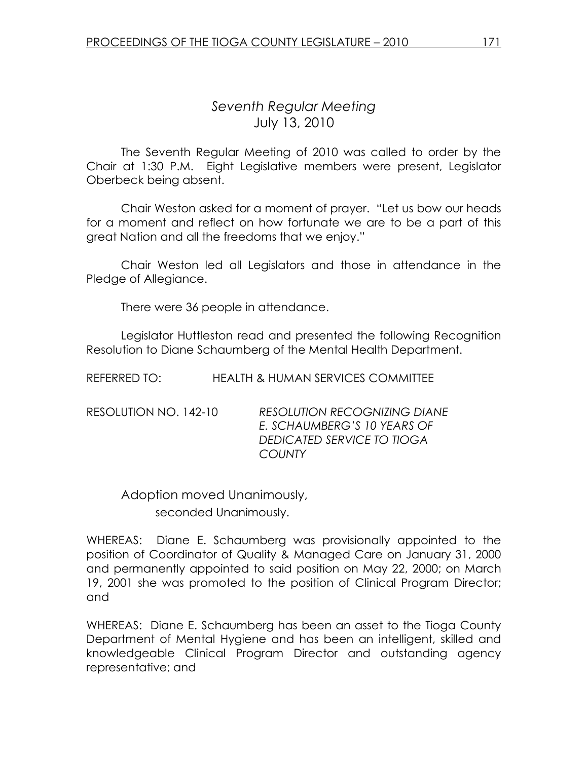# Seventh Regular Meeting July 13, 2010

 The Seventh Regular Meeting of 2010 was called to order by the Chair at 1:30 P.M. Eight Legislative members were present, Legislator Oberbeck being absent.

 Chair Weston asked for a moment of prayer. "Let us bow our heads for a moment and reflect on how fortunate we are to be a part of this great Nation and all the freedoms that we enjoy."

 Chair Weston led all Legislators and those in attendance in the Pledge of Allegiance.

There were 36 people in attendance.

 Legislator Huttleston read and presented the following Recognition Resolution to Diane Schaumberg of the Mental Health Department.

| REFERRED TO:          | <b>HEALTH &amp; HUMAN SERVICES COMMITTEE</b>                                                                      |
|-----------------------|-------------------------------------------------------------------------------------------------------------------|
| RESOLUTION NO. 142-10 | <b>RESOLUTION RECOGNIZING DIANE</b><br>E. SCHAUMBERG'S 10 YEARS OF<br>DEDICATED SERVICE TO TIOGA<br><b>COUNTY</b> |

 Adoption moved Unanimously, seconded Unanimously.

WHEREAS: Diane E. Schaumberg was provisionally appointed to the position of Coordinator of Quality & Managed Care on January 31, 2000 and permanently appointed to said position on May 22, 2000; on March 19, 2001 she was promoted to the position of Clinical Program Director; and

WHEREAS: Diane E. Schaumberg has been an asset to the Tioga County Department of Mental Hygiene and has been an intelligent, skilled and knowledgeable Clinical Program Director and outstanding agency representative; and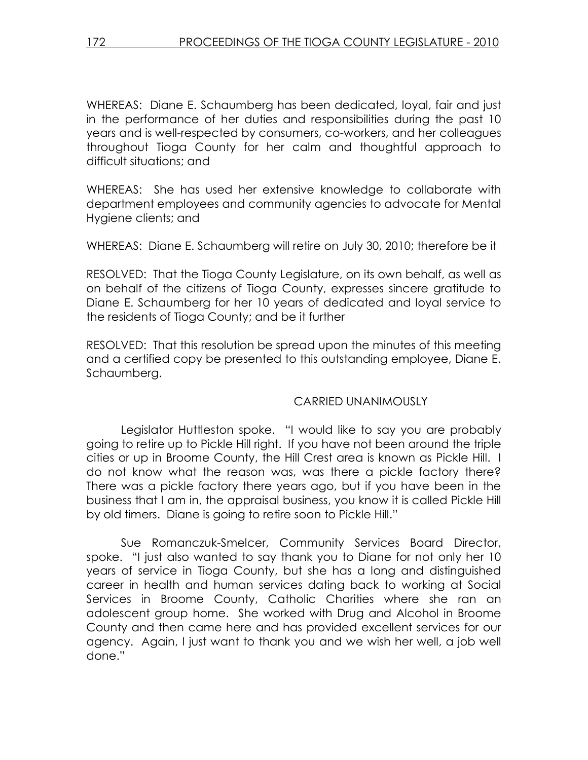WHEREAS: Diane E. Schaumberg has been dedicated, loyal, fair and just in the performance of her duties and responsibilities during the past 10 years and is well-respected by consumers, co-workers, and her colleagues throughout Tioga County for her calm and thoughtful approach to difficult situations; and

WHEREAS: She has used her extensive knowledge to collaborate with department employees and community agencies to advocate for Mental Hygiene clients; and

WHEREAS: Diane E. Schaumberg will retire on July 30, 2010; therefore be it

RESOLVED: That the Tioga County Legislature, on its own behalf, as well as on behalf of the citizens of Tioga County, expresses sincere gratitude to Diane E. Schaumberg for her 10 years of dedicated and loyal service to the residents of Tioga County; and be it further

RESOLVED: That this resolution be spread upon the minutes of this meeting and a certified copy be presented to this outstanding employee, Diane E. Schaumberg.

## CARRIED UNANIMOUSLY

 Legislator Huttleston spoke. "I would like to say you are probably going to retire up to Pickle Hill right. If you have not been around the triple cities or up in Broome County, the Hill Crest area is known as Pickle Hill. I do not know what the reason was, was there a pickle factory there? There was a pickle factory there years ago, but if you have been in the business that I am in, the appraisal business, you know it is called Pickle Hill by old timers. Diane is going to retire soon to Pickle Hill."

 Sue Romanczuk-Smelcer, Community Services Board Director, spoke. "I just also wanted to say thank you to Diane for not only her 10 years of service in Tioga County, but she has a long and distinguished career in health and human services dating back to working at Social Services in Broome County, Catholic Charities where she ran an adolescent group home. She worked with Drug and Alcohol in Broome County and then came here and has provided excellent services for our agency. Again, I just want to thank you and we wish her well, a job well done."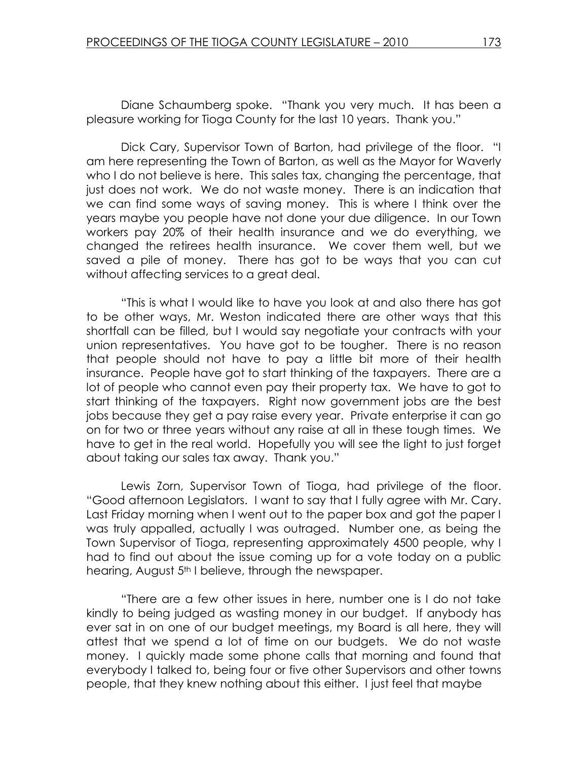Diane Schaumberg spoke. "Thank you very much. It has been a pleasure working for Tioga County for the last 10 years. Thank you."

 Dick Cary, Supervisor Town of Barton, had privilege of the floor. "I am here representing the Town of Barton, as well as the Mayor for Waverly who I do not believe is here. This sales tax, changing the percentage, that just does not work. We do not waste money. There is an indication that we can find some ways of saving money. This is where I think over the years maybe you people have not done your due diligence. In our Town workers pay 20% of their health insurance and we do everything, we changed the retirees health insurance. We cover them well, but we saved a pile of money. There has got to be ways that you can cut without affecting services to a great deal.

 "This is what I would like to have you look at and also there has got to be other ways, Mr. Weston indicated there are other ways that this shortfall can be filled, but I would say negotiate your contracts with your union representatives. You have got to be tougher. There is no reason that people should not have to pay a little bit more of their health insurance. People have got to start thinking of the taxpayers. There are a lot of people who cannot even pay their property tax. We have to got to start thinking of the taxpayers. Right now government jobs are the best jobs because they get a pay raise every year. Private enterprise it can go on for two or three years without any raise at all in these tough times. We have to get in the real world. Hopefully you will see the light to just forget about taking our sales tax away. Thank you."

 Lewis Zorn, Supervisor Town of Tioga, had privilege of the floor. "Good afternoon Legislators. I want to say that I fully agree with Mr. Cary. Last Friday morning when I went out to the paper box and got the paper I was truly appalled, actually I was outraged. Number one, as being the Town Supervisor of Tioga, representing approximately 4500 people, why I had to find out about the issue coming up for a vote today on a public hearing, August 5<sup>th</sup> I believe, through the newspaper.

"There are a few other issues in here, number one is I do not take kindly to being judged as wasting money in our budget. If anybody has ever sat in on one of our budget meetings, my Board is all here, they will attest that we spend a lot of time on our budgets. We do not waste money. I quickly made some phone calls that morning and found that everybody I talked to, being four or five other Supervisors and other towns people, that they knew nothing about this either. I just feel that maybe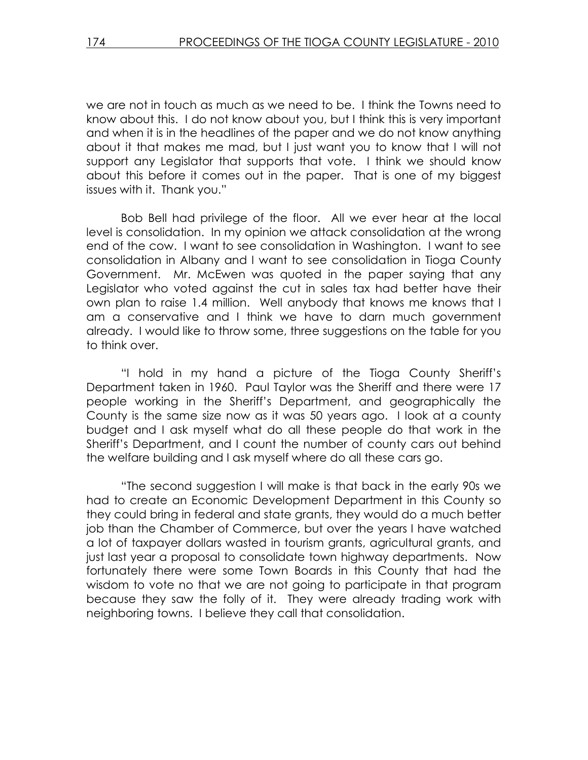we are not in touch as much as we need to be. I think the Towns need to know about this. I do not know about you, but I think this is very important and when it is in the headlines of the paper and we do not know anything about it that makes me mad, but I just want you to know that I will not support any Legislator that supports that vote. I think we should know about this before it comes out in the paper. That is one of my biggest issues with it. Thank you."

 Bob Bell had privilege of the floor. All we ever hear at the local level is consolidation. In my opinion we attack consolidation at the wrong end of the cow. I want to see consolidation in Washington. I want to see consolidation in Albany and I want to see consolidation in Tioga County Government. Mr. McEwen was quoted in the paper saying that any Legislator who voted against the cut in sales tax had better have their own plan to raise 1.4 million. Well anybody that knows me knows that I am a conservative and I think we have to darn much government already. I would like to throw some, three suggestions on the table for you to think over.

 "I hold in my hand a picture of the Tioga County Sheriff's Department taken in 1960. Paul Taylor was the Sheriff and there were 17 people working in the Sheriff's Department, and geographically the County is the same size now as it was 50 years ago. I look at a county budget and I ask myself what do all these people do that work in the Sheriff's Department, and I count the number of county cars out behind the welfare building and I ask myself where do all these cars go.

 "The second suggestion I will make is that back in the early 90s we had to create an Economic Development Department in this County so they could bring in federal and state grants, they would do a much better job than the Chamber of Commerce, but over the years I have watched a lot of taxpayer dollars wasted in tourism grants, agricultural grants, and just last year a proposal to consolidate town highway departments. Now fortunately there were some Town Boards in this County that had the wisdom to vote no that we are not going to participate in that program because they saw the folly of it. They were already trading work with neighboring towns. I believe they call that consolidation.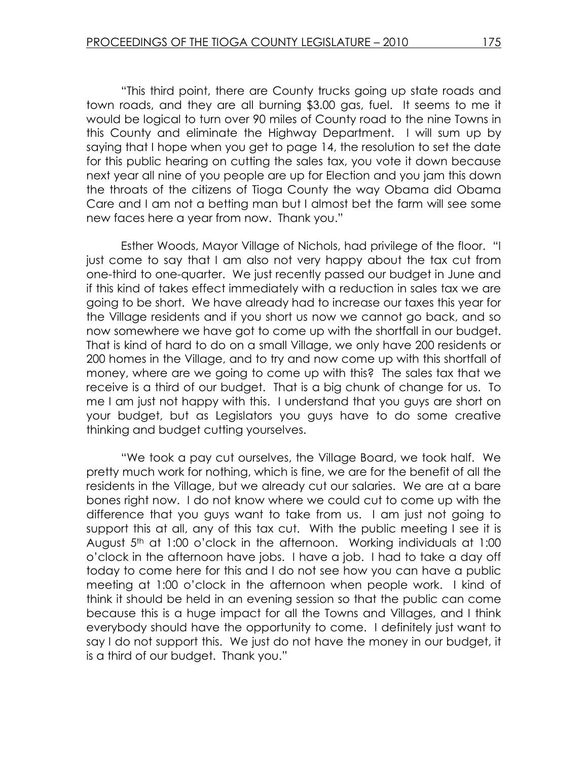"This third point, there are County trucks going up state roads and town roads, and they are all burning \$3.00 gas, fuel. It seems to me it would be logical to turn over 90 miles of County road to the nine Towns in this County and eliminate the Highway Department. I will sum up by saying that I hope when you get to page 14, the resolution to set the date for this public hearing on cutting the sales tax, you vote it down because next year all nine of you people are up for Election and you jam this down the throats of the citizens of Tioga County the way Obama did Obama Care and I am not a betting man but I almost bet the farm will see some new faces here a year from now. Thank you."

 Esther Woods, Mayor Village of Nichols, had privilege of the floor. "I just come to say that I am also not very happy about the tax cut from one-third to one-quarter. We just recently passed our budget in June and if this kind of takes effect immediately with a reduction in sales tax we are going to be short. We have already had to increase our taxes this year for the Village residents and if you short us now we cannot go back, and so now somewhere we have got to come up with the shortfall in our budget. That is kind of hard to do on a small Village, we only have 200 residents or 200 homes in the Village, and to try and now come up with this shortfall of money, where are we going to come up with this? The sales tax that we receive is a third of our budget. That is a big chunk of change for us. To me I am just not happy with this. I understand that you guys are short on your budget, but as Legislators you guys have to do some creative thinking and budget cutting yourselves.

 "We took a pay cut ourselves, the Village Board, we took half. We pretty much work for nothing, which is fine, we are for the benefit of all the residents in the Village, but we already cut our salaries. We are at a bare bones right now. I do not know where we could cut to come up with the difference that you guys want to take from us. I am just not going to support this at all, any of this tax cut. With the public meeting I see it is August 5<sup>th</sup> at 1:00 o'clock in the afternoon. Working individuals at 1:00 o'clock in the afternoon have jobs. I have a job. I had to take a day off today to come here for this and I do not see how you can have a public meeting at 1:00 o'clock in the afternoon when people work. I kind of think it should be held in an evening session so that the public can come because this is a huge impact for all the Towns and Villages, and I think everybody should have the opportunity to come. I definitely just want to say I do not support this. We just do not have the money in our budget, it is a third of our budget. Thank you."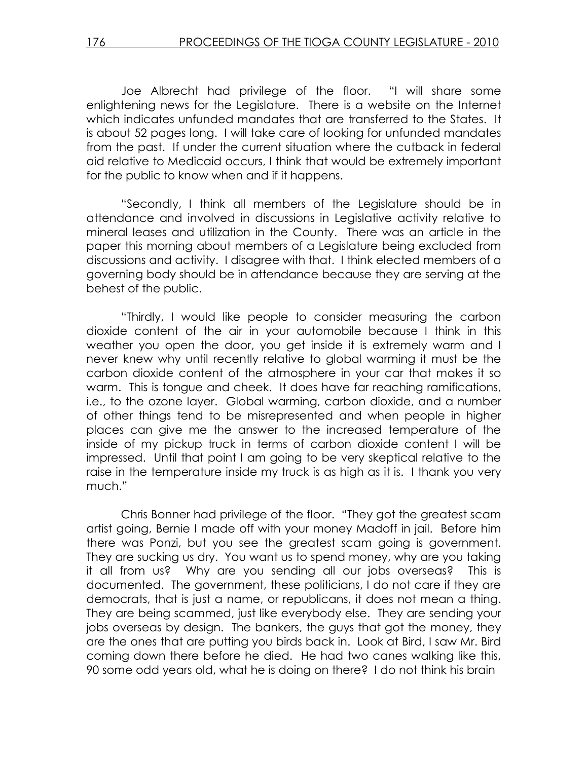Joe Albrecht had privilege of the floor. "I will share some enlightening news for the Legislature. There is a website on the Internet which indicates unfunded mandates that are transferred to the States. It is about 52 pages long. I will take care of looking for unfunded mandates from the past. If under the current situation where the cutback in federal aid relative to Medicaid occurs, I think that would be extremely important for the public to know when and if it happens.

 "Secondly, I think all members of the Legislature should be in attendance and involved in discussions in Legislative activity relative to mineral leases and utilization in the County. There was an article in the paper this morning about members of a Legislature being excluded from discussions and activity. I disagree with that. I think elected members of a governing body should be in attendance because they are serving at the behest of the public.

 "Thirdly, I would like people to consider measuring the carbon dioxide content of the air in your automobile because I think in this weather you open the door, you get inside it is extremely warm and I never knew why until recently relative to global warming it must be the carbon dioxide content of the atmosphere in your car that makes it so warm. This is tongue and cheek. It does have far reaching ramifications, i.e., to the ozone layer. Global warming, carbon dioxide, and a number of other things tend to be misrepresented and when people in higher places can give me the answer to the increased temperature of the inside of my pickup truck in terms of carbon dioxide content I will be impressed. Until that point I am going to be very skeptical relative to the raise in the temperature inside my truck is as high as it is. I thank you very much."

 Chris Bonner had privilege of the floor. "They got the greatest scam artist going, Bernie I made off with your money Madoff in jail. Before him there was Ponzi, but you see the greatest scam going is government. They are sucking us dry. You want us to spend money, why are you taking it all from us? Why are you sending all our jobs overseas? This is documented. The government, these politicians, I do not care if they are democrats, that is just a name, or republicans, it does not mean a thing. They are being scammed, just like everybody else. They are sending your jobs overseas by design. The bankers, the guys that got the money, they are the ones that are putting you birds back in. Look at Bird, I saw Mr. Bird coming down there before he died. He had two canes walking like this, 90 some odd years old, what he is doing on there? I do not think his brain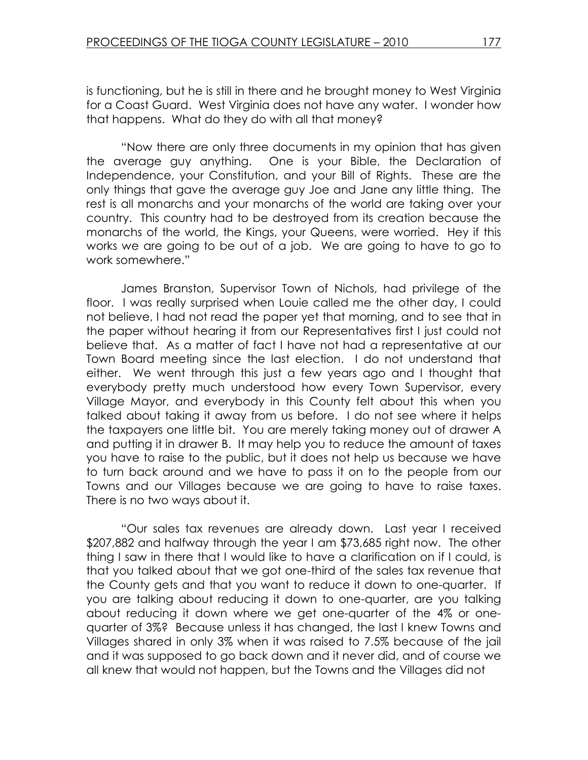is functioning, but he is still in there and he brought money to West Virginia for a Coast Guard. West Virginia does not have any water. I wonder how that happens. What do they do with all that money?

 "Now there are only three documents in my opinion that has given the average guy anything. One is your Bible, the Declaration of Independence, your Constitution, and your Bill of Rights. These are the only things that gave the average guy Joe and Jane any little thing. The rest is all monarchs and your monarchs of the world are taking over your country. This country had to be destroyed from its creation because the monarchs of the world, the Kings, your Queens, were worried. Hey if this works we are going to be out of a job. We are going to have to go to work somewhere."

 James Branston, Supervisor Town of Nichols, had privilege of the floor. I was really surprised when Louie called me the other day, I could not believe, I had not read the paper yet that morning, and to see that in the paper without hearing it from our Representatives first I just could not believe that. As a matter of fact I have not had a representative at our Town Board meeting since the last election. I do not understand that either. We went through this just a few years ago and I thought that everybody pretty much understood how every Town Supervisor, every Village Mayor, and everybody in this County felt about this when you talked about taking it away from us before. I do not see where it helps the taxpayers one little bit. You are merely taking money out of drawer A and putting it in drawer B. It may help you to reduce the amount of taxes you have to raise to the public, but it does not help us because we have to turn back around and we have to pass it on to the people from our Towns and our Villages because we are going to have to raise taxes. There is no two ways about it.

 "Our sales tax revenues are already down. Last year I received \$207,882 and halfway through the year I am \$73,685 right now. The other thing I saw in there that I would like to have a clarification on if I could, is that you talked about that we got one-third of the sales tax revenue that the County gets and that you want to reduce it down to one-quarter. If you are talking about reducing it down to one-quarter, are you talking about reducing it down where we get one-quarter of the 4% or onequarter of 3%? Because unless it has changed, the last I knew Towns and Villages shared in only 3% when it was raised to 7.5% because of the jail and it was supposed to go back down and it never did, and of course we all knew that would not happen, but the Towns and the Villages did not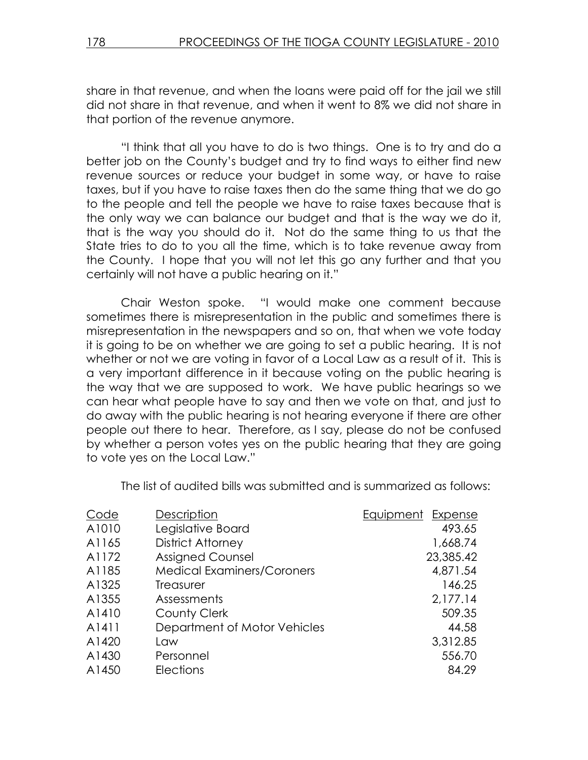share in that revenue, and when the loans were paid off for the jail we still did not share in that revenue, and when it went to 8% we did not share in that portion of the revenue anymore.

"I think that all you have to do is two things. One is to try and do a better job on the County's budget and try to find ways to either find new revenue sources or reduce your budget in some way, or have to raise taxes, but if you have to raise taxes then do the same thing that we do go to the people and tell the people we have to raise taxes because that is the only way we can balance our budget and that is the way we do it, that is the way you should do it. Not do the same thing to us that the State tries to do to you all the time, which is to take revenue away from the County. I hope that you will not let this go any further and that you certainly will not have a public hearing on it."

 Chair Weston spoke. "I would make one comment because sometimes there is misrepresentation in the public and sometimes there is misrepresentation in the newspapers and so on, that when we vote today it is going to be on whether we are going to set a public hearing. It is not whether or not we are voting in favor of a Local Law as a result of it. This is a very important difference in it because voting on the public hearing is the way that we are supposed to work. We have public hearings so we can hear what people have to say and then we vote on that, and just to do away with the public hearing is not hearing everyone if there are other people out there to hear. Therefore, as I say, please do not be confused by whether a person votes yes on the public hearing that they are going to vote yes on the Local Law."

| The list of audited bills was submitted and is summarized as follows: |  |
|-----------------------------------------------------------------------|--|
|-----------------------------------------------------------------------|--|

| A1010<br>Legislative Board<br>493.65<br><b>District Attorney</b><br>A1165<br>1,668.74<br><b>Assigned Counsel</b><br>A1172<br><b>Medical Examiners/Coroners</b><br>A1185<br>4,871.54<br>A1325<br>146.25<br><b>Treasurer</b><br>2,177.14<br>A1355<br>Assessments<br>509.35<br>A1410<br>County Clerk<br>Department of Motor Vehicles<br>A1411<br>44.58<br>3,312.85<br>A1420<br>Law<br>A1430<br>Personnel<br>556.70<br>84.29<br>A1450<br><b>Elections</b> | Code | Description | <b>Equipment Expense</b> |
|-------------------------------------------------------------------------------------------------------------------------------------------------------------------------------------------------------------------------------------------------------------------------------------------------------------------------------------------------------------------------------------------------------------------------------------------------------|------|-------------|--------------------------|
|                                                                                                                                                                                                                                                                                                                                                                                                                                                       |      |             |                          |
|                                                                                                                                                                                                                                                                                                                                                                                                                                                       |      |             |                          |
|                                                                                                                                                                                                                                                                                                                                                                                                                                                       |      |             | 23,385.42                |
|                                                                                                                                                                                                                                                                                                                                                                                                                                                       |      |             |                          |
|                                                                                                                                                                                                                                                                                                                                                                                                                                                       |      |             |                          |
|                                                                                                                                                                                                                                                                                                                                                                                                                                                       |      |             |                          |
|                                                                                                                                                                                                                                                                                                                                                                                                                                                       |      |             |                          |
|                                                                                                                                                                                                                                                                                                                                                                                                                                                       |      |             |                          |
|                                                                                                                                                                                                                                                                                                                                                                                                                                                       |      |             |                          |
|                                                                                                                                                                                                                                                                                                                                                                                                                                                       |      |             |                          |
|                                                                                                                                                                                                                                                                                                                                                                                                                                                       |      |             |                          |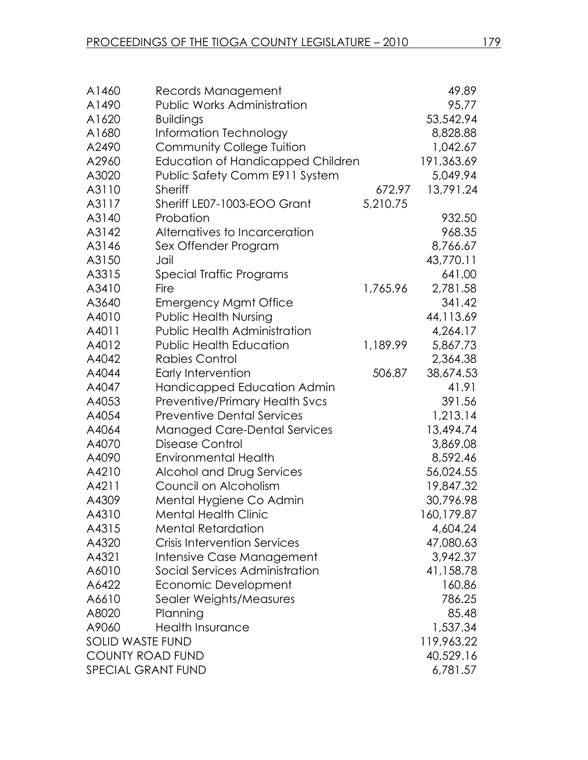| A1460                   | Records Management                       |          | 49.89       |
|-------------------------|------------------------------------------|----------|-------------|
| A1490                   | <b>Public Works Administration</b>       |          | 95.77       |
| A1620                   | <b>Buildings</b>                         |          | 53,542.94   |
| A1680                   | Information Technology                   |          | 8,828.88    |
| A2490                   | <b>Community College Tuition</b>         |          | 1,042.67    |
| A2960                   | <b>Education of Handicapped Children</b> |          | 191,363.69  |
| A3020                   | Public Safety Comm E911 System           |          | 5,049.94    |
| A3110                   | <b>Sheriff</b>                           | 672.97   | 13,791.24   |
| A3117                   | Sheriff LE07-1003-EOO Grant              | 5,210.75 |             |
| A3140                   | Probation                                |          | 932.50      |
| A3142                   | Alternatives to Incarceration            |          | 968.35      |
| A3146                   | Sex Offender Program                     |          | 8,766.67    |
| A3150                   | Jail                                     |          | 43,770.11   |
| A3315                   | Special Traffic Programs                 |          | 641.00      |
| A3410                   | Fire                                     | 1,765.96 | 2,781.58    |
| A3640                   | <b>Emergency Mgmt Office</b>             |          | 341.42      |
| A4010                   | <b>Public Health Nursing</b>             |          | 44,113.69   |
| A4011                   | <b>Public Health Administration</b>      |          | 4,264.17    |
| A4012                   | <b>Public Health Education</b>           | 1,189.99 | 5,867.73    |
| A4042                   | <b>Rabies Control</b>                    |          | 2,364.38    |
| A4044                   | Early Intervention                       | 506.87   | 38,674.53   |
| A4047                   | Handicapped Education Admin              |          | 41.91       |
| A4053                   | <b>Preventive/Primary Health Svcs</b>    |          | 391.56      |
| A4054                   | <b>Preventive Dental Services</b>        |          | 1,213.14    |
| A4064                   | <b>Managed Care-Dental Services</b>      |          | 13,494.74   |
| A4070                   | <b>Disease Control</b>                   |          | 3,869.08    |
| A4090                   | <b>Environmental Health</b>              |          | 8,592.46    |
| A4210                   | Alcohol and Drug Services                |          | 56,024.55   |
| A4211                   | Council on Alcoholism                    |          | 19,847.32   |
| A4309                   | Mental Hygiene Co Admin                  |          | 30,796.98   |
| A4310                   | <b>Mental Health Clinic</b>              |          | 160, 179.87 |
| A4315                   | <b>Mental Retardation</b>                |          | 4,604.24    |
| A4320                   | <b>Crisis Intervention Services</b>      |          | 47,080.63   |
| A4321                   | Intensive Case Management                |          | 3,942.37    |
| A6010                   | Social Services Administration           |          | 41,158.78   |
| A6422                   | Economic Development                     |          | 160.86      |
| A6610                   | Sealer Weights/Measures                  |          | 786.25      |
| A8020                   | Planning                                 |          | 85.48       |
| A9060                   | <b>Health Insurance</b>                  |          | 1,537.34    |
| <b>SOLID WASTE FUND</b> |                                          |          | 119,963.22  |
| <b>COUNTY ROAD FUND</b> |                                          |          | 40,529.16   |
| SPECIAL GRANT FUND      |                                          |          | 6,781.57    |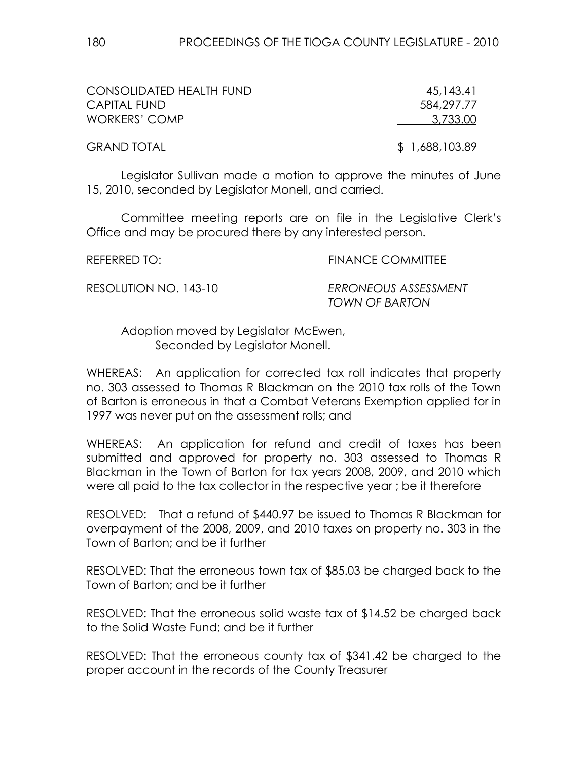| CONSOLIDATED HEALTH FUND | 45,143.41      |
|--------------------------|----------------|
| CAPITAL FUND             | 584,297,77     |
| WORKERS' COMP            | 3,733.00       |
| <b>GRAND TOTAL</b>       | \$1,688,103.89 |

Legislator Sullivan made a motion to approve the minutes of June 15, 2010, seconded by Legislator Monell, and carried.

Committee meeting reports are on file in the Legislative Clerk's Office and may be procured there by any interested person.

REFERRED TO: THE REFERRED TO: THE REFERRED TO:

RESOLUTION NO. 143-10 ERRONEOUS ASSESSMENT TOWN OF BARTON

 Adoption moved by Legislator McEwen, Seconded by Legislator Monell.

WHEREAS: An application for corrected tax roll indicates that property no. 303 assessed to Thomas R Blackman on the 2010 tax rolls of the Town of Barton is erroneous in that a Combat Veterans Exemption applied for in 1997 was never put on the assessment rolls; and

WHEREAS: An application for refund and credit of taxes has been submitted and approved for property no. 303 assessed to Thomas R Blackman in the Town of Barton for tax years 2008, 2009, and 2010 which were all paid to the tax collector in the respective year ; be it therefore

RESOLVED: That a refund of \$440.97 be issued to Thomas R Blackman for overpayment of the 2008, 2009, and 2010 taxes on property no. 303 in the Town of Barton; and be it further

RESOLVED: That the erroneous town tax of \$85.03 be charged back to the Town of Barton; and be it further

RESOLVED: That the erroneous solid waste tax of \$14.52 be charged back to the Solid Waste Fund; and be it further

RESOLVED: That the erroneous county tax of \$341.42 be charged to the proper account in the records of the County Treasurer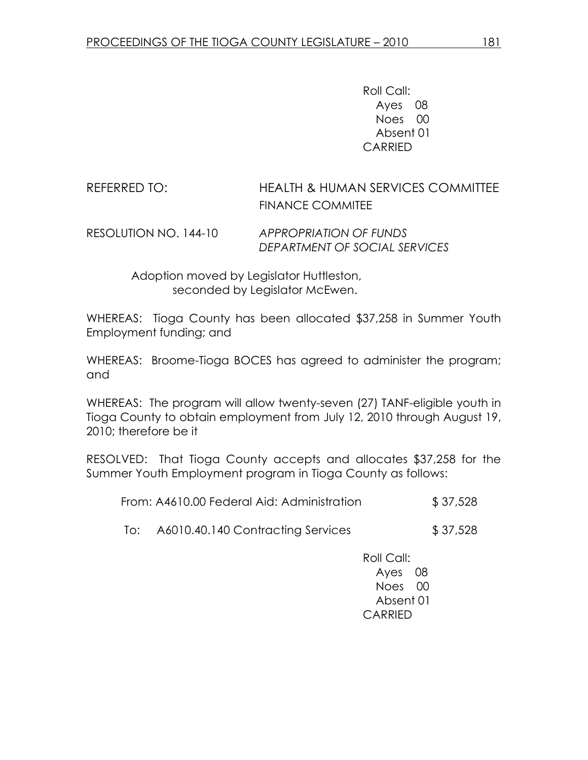Roll Call: Ayes 08 Noes 00 Absent 01 CARRIED

## REFERRED TO: HEALTH & HUMAN SERVICES COMMITTEE FINANCE COMMITEE

RESOLUTION NO. 144-10 APPROPRIATION OF FUNDS DEPARTMENT OF SOCIAL SERVICES

> Adoption moved by Legislator Huttleston, seconded by Legislator McEwen.

WHEREAS: Tioga County has been allocated \$37,258 in Summer Youth Employment funding; and

WHEREAS: Broome-Tioga BOCES has agreed to administer the program; and

WHEREAS: The program will allow twenty-seven (27) TANF-eligible youth in Tioga County to obtain employment from July 12, 2010 through August 19, 2010; therefore be it

RESOLVED: That Tioga County accepts and allocates \$37,258 for the Summer Youth Employment program in Tioga County as follows:

| From: A4610.00 Federal Aid: Administration | \$37,528 |
|--------------------------------------------|----------|
|                                            |          |

To: A6010.40.140 Contracting Services \$ 37,528

 Roll Call: Ayes 08 Noes 00 Absent 01 CARRIED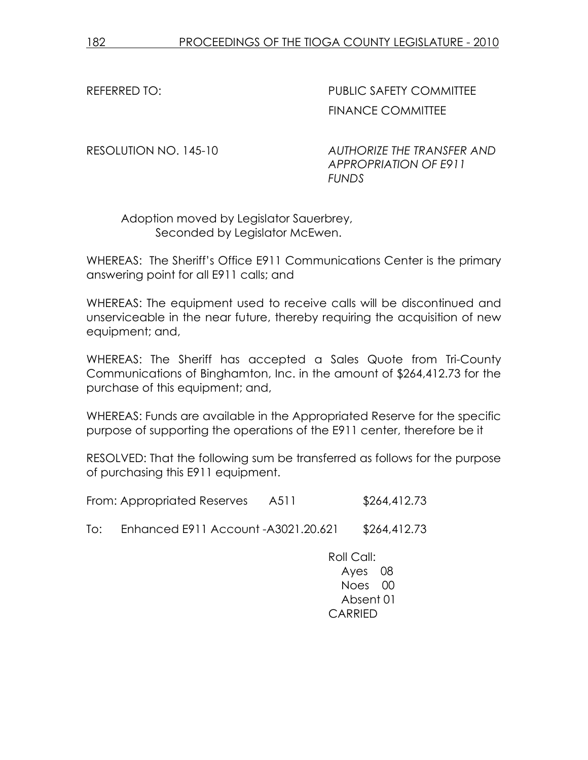REFERRED TO: The South of the PUBLIC SAFETY COMMITTEE FINANCE COMMITTEE

RESOLUTION NO. 145-10 AUTHORIZE THE TRANSFER AND APPROPRIATION OF E911 FUNDS

 Adoption moved by Legislator Sauerbrey, Seconded by Legislator McEwen.

WHEREAS: The Sheriff's Office E911 Communications Center is the primary answering point for all E911 calls; and

WHEREAS: The equipment used to receive calls will be discontinued and unserviceable in the near future, thereby requiring the acquisition of new equipment; and,

WHEREAS: The Sheriff has accepted a Sales Quote from Tri-County Communications of Binghamton, Inc. in the amount of \$264,412.73 for the purchase of this equipment; and,

WHEREAS: Funds are available in the Appropriated Reserve for the specific purpose of supporting the operations of the E911 center, therefore be it

RESOLVED: That the following sum be transferred as follows for the purpose of purchasing this E911 equipment.

From: Appropriated Reserves A511 \$264,412.73

To: Enhanced E911 Account - A3021.20.621 \$264,412.73

Roll Call: Ayes 08 Noes 00 Absent 01 CARRIED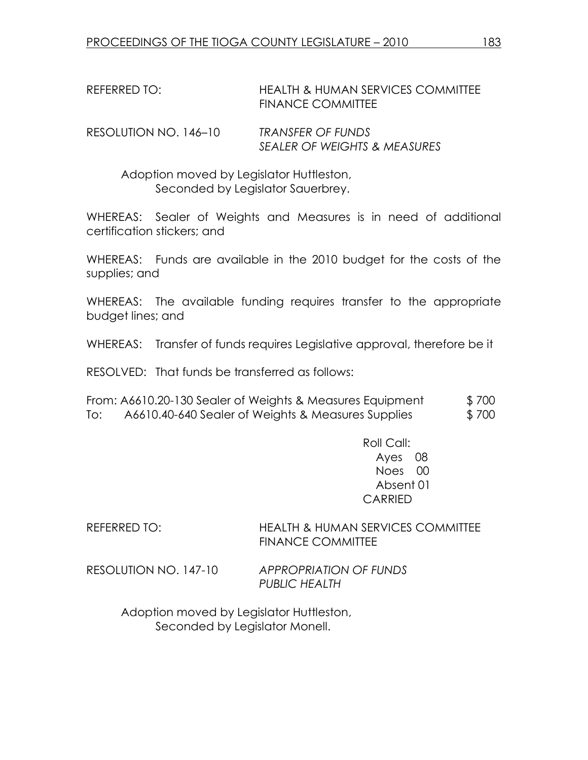## REFERRED TO: HEALTH & HUMAN SERVICES COMMITTEE FINANCE COMMITTEE

RESOLUTION NO. 146–10 TRANSFER OF FUNDS SEALER OF WEIGHTS & MEASURES

 Adoption moved by Legislator Huttleston, Seconded by Legislator Sauerbrey.

WHEREAS: Sealer of Weights and Measures is in need of additional certification stickers; and

WHEREAS: Funds are available in the 2010 budget for the costs of the supplies; and

WHEREAS: The available funding requires transfer to the appropriate budget lines; and

WHEREAS: Transfer of funds requires Legislative approval, therefore be it

RESOLVED: That funds be transferred as follows:

From: A6610.20-130 Sealer of Weights & Measures Equipment \$ 700 To: A6610.40-640 Sealer of Weights & Measures Supplies \$700

> Roll Call: Ayes 08 Noes 00 Absent 01 CARRIED

REFERRED TO: HEALTH & HUMAN SERVICES COMMITTEE FINANCE COMMITTEE

RESOLUTION NO. 147-10 APPROPRIATION OF FUNDS PUBLIC HEALTH

> Adoption moved by Legislator Huttleston, Seconded by Legislator Monell.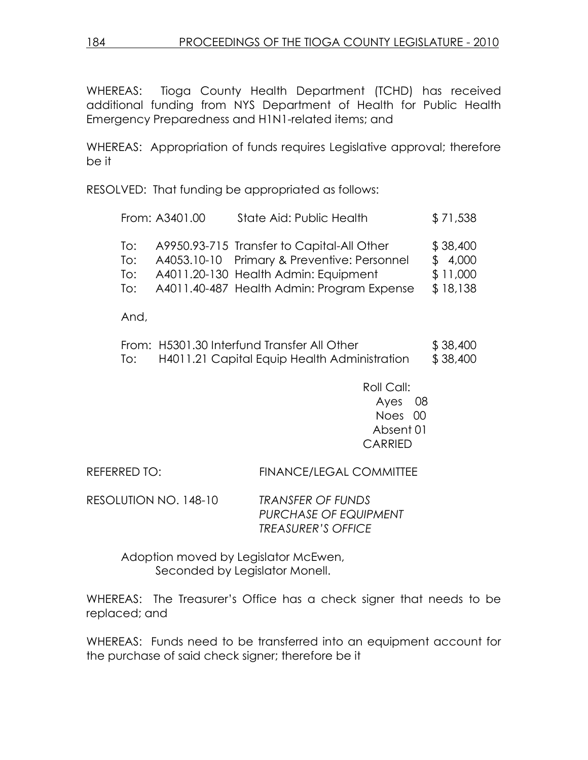WHEREAS: Tioga County Health Department (TCHD) has received additional funding from NYS Department of Health for Public Health Emergency Preparedness and H1N1-related items; and

WHEREAS: Appropriation of funds requires Legislative approval; therefore be it

RESOLVED: That funding be appropriated as follows:

| A9950.93-715 Transfer to Capital-All Other<br>To:<br>A4053.10-10 Primary & Preventive: Personnel<br>To:<br>A4011.20-130 Health Admin: Equipment<br>To:<br>A4011.40-487 Health Admin: Program Expense<br>To: |  | From: A3401.00 | State Aid: Public Health | \$71,538                                    |
|-------------------------------------------------------------------------------------------------------------------------------------------------------------------------------------------------------------|--|----------------|--------------------------|---------------------------------------------|
|                                                                                                                                                                                                             |  |                |                          | \$38,400<br>\$4,000<br>\$11,000<br>\$18,138 |

And,

|     | From: H5301.30 Interfund Transfer All Other  | \$38,400 |
|-----|----------------------------------------------|----------|
| To: | H4011.21 Capital Equip Health Administration | \$38,400 |

 Roll Call: Ayes 08 Noes 00 Absent 01 CARRIED

REFERRED TO: FINANCE/LEGAL COMMITTEE

RESOLUTION NO. 148-10 TRANSFER OF FUNDS PURCHASE OF EQUIPMENT TREASURER'S OFFICE

> Adoption moved by Legislator McEwen, Seconded by Legislator Monell.

WHEREAS: The Treasurer's Office has a check signer that needs to be replaced; and

WHEREAS: Funds need to be transferred into an equipment account for the purchase of said check signer; therefore be it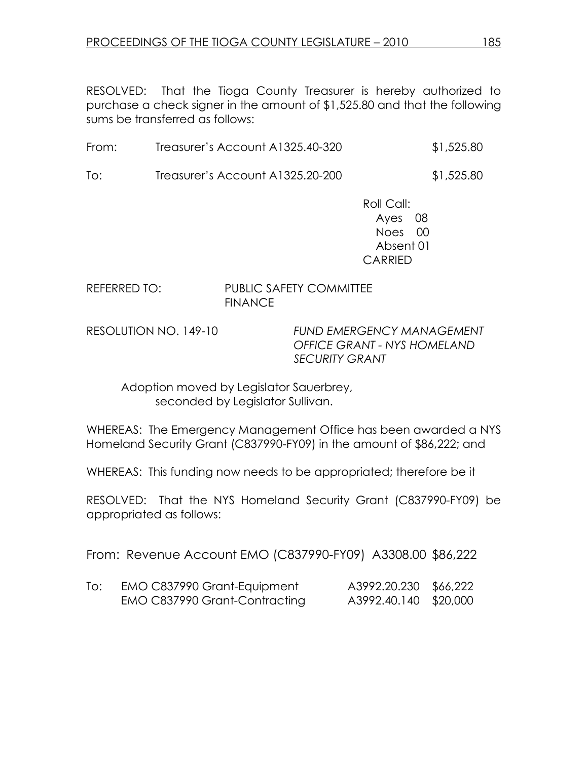RESOLVED: That the Tioga County Treasurer is hereby authorized to purchase a check signer in the amount of \$1,525.80 and that the following sums be transferred as follows:

| \$1,525.80 |
|------------|
|            |

To: Treasurer's Account A1325.20-200 \$1,525.80

 Roll Call: Ayes 08 Noes 00 Absent 01 CARRIED

#### REFERRED TO: PUBLIC SAFETY COMMITTEE **FINANCE**

RESOLUTION NO. 149-10 FUND EMERGENCY MANAGEMENT OFFICE GRANT - NYS HOMELAND SECURITY GRANT

 Adoption moved by Legislator Sauerbrey, seconded by Legislator Sullivan.

WHEREAS: The Emergency Management Office has been awarded a NYS Homeland Security Grant (C837990-FY09) in the amount of \$86,222; and

WHEREAS: This funding now needs to be appropriated; therefore be it

RESOLVED: That the NYS Homeland Security Grant (C837990-FY09) be appropriated as follows:

From: Revenue Account EMO (C837990-FY09) A3308.00 \$86,222

| EMO C837990 Grant-Equipment   | A3992.20.230 \$66,222 |  |
|-------------------------------|-----------------------|--|
| EMO C837990 Grant-Contracting | A3992.40.140 \$20,000 |  |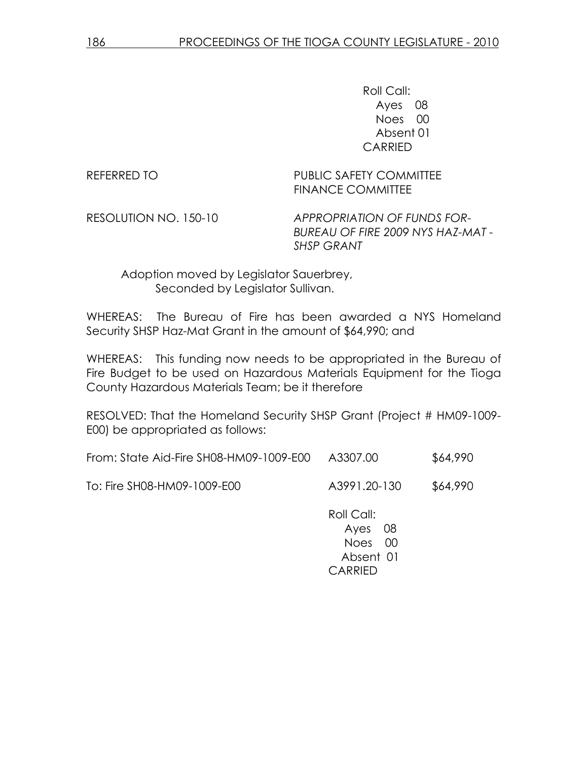Roll Call: Ayes 08 Noes 00 Absent 01 CARRIED

REFERRED TO **PUBLIC SAFETY COMMITTEE** FINANCE COMMITTEE

RESOLUTION NO. 150-10 APPROPRIATION OF FUNDS FOR-BUREAU OF FIRE 2009 NYS HAZ-MAT - SHSP GRANT

 Adoption moved by Legislator Sauerbrey, Seconded by Legislator Sullivan.

WHEREAS: The Bureau of Fire has been awarded a NYS Homeland Security SHSP Haz-Mat Grant in the amount of \$64,990; and

WHEREAS: This funding now needs to be appropriated in the Bureau of Fire Budget to be used on Hazardous Materials Equipment for the Tioga County Hazardous Materials Team; be it therefore

RESOLVED: That the Homeland Security SHSP Grant (Project # HM09-1009- E00) be appropriated as follows:

| From: State Aid-Fire SH08-HM09-1009-E00 | A3307.00 | \$64,990 |
|-----------------------------------------|----------|----------|
|-----------------------------------------|----------|----------|

To: Fire SH08-HM09-1009-E00 A3991.20-130 \$64,990

 Roll Call: Ayes 08 Noes 00 Absent 01 CARRIED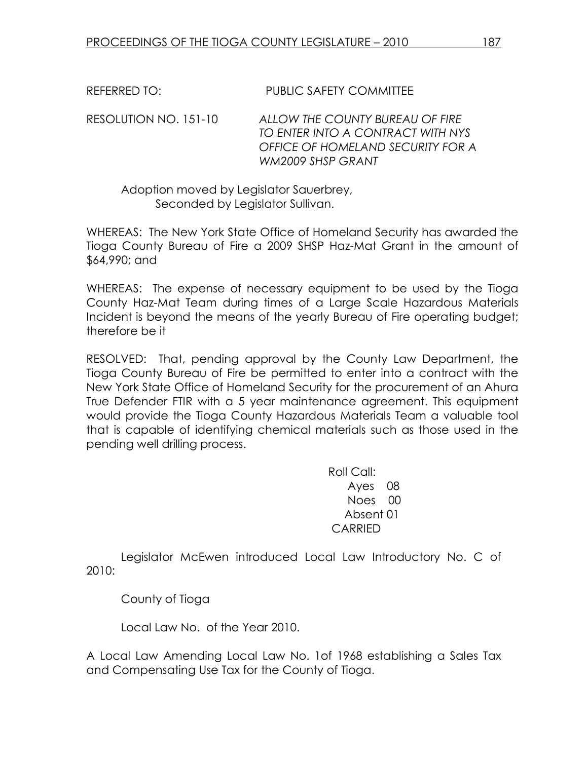REFERRED TO: PUBLIC SAFETY COMMITTEE

RESOLUTION NO. 151-10 ALLOW THE COUNTY BUREAU OF FIRE TO ENTER INTO A CONTRACT WITH NYS OFFICE OF HOMELAND SECURITY FOR A WM2009 SHSP GRANT

 Adoption moved by Legislator Sauerbrey, Seconded by Legislator Sullivan.

WHEREAS: The New York State Office of Homeland Security has awarded the Tioga County Bureau of Fire a 2009 SHSP Haz-Mat Grant in the amount of \$64,990; and

WHEREAS: The expense of necessary equipment to be used by the Tioga County Haz-Mat Team during times of a Large Scale Hazardous Materials Incident is beyond the means of the yearly Bureau of Fire operating budget; therefore be it

RESOLVED: That, pending approval by the County Law Department, the Tioga County Bureau of Fire be permitted to enter into a contract with the New York State Office of Homeland Security for the procurement of an Ahura True Defender FTIR with a 5 year maintenance agreement. This equipment would provide the Tioga County Hazardous Materials Team a valuable tool that is capable of identifying chemical materials such as those used in the pending well drilling process.

> Roll Call: Ayes 08 Noes 00 Absent 01 CARRIED

 Legislator McEwen introduced Local Law Introductory No. C of 2010:

County of Tioga

Local Law No. of the Year 2010.

A Local Law Amending Local Law No. 1of 1968 establishing a Sales Tax and Compensating Use Tax for the County of Tioga.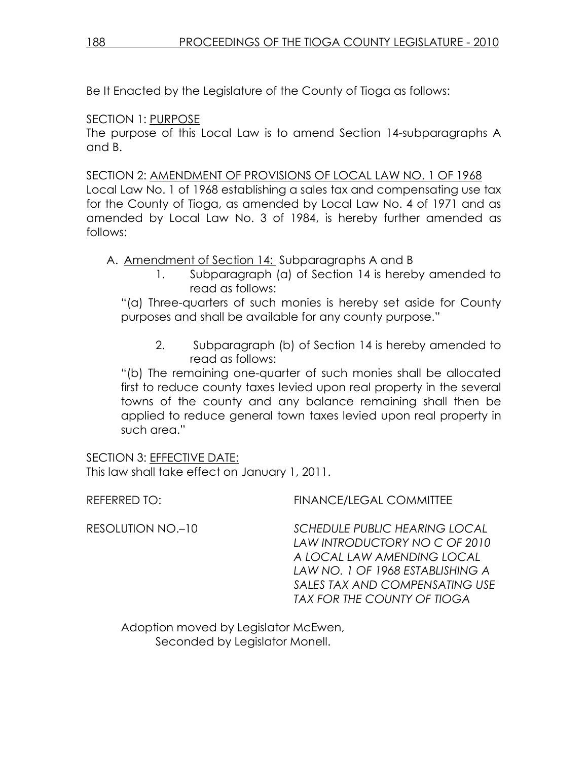Be It Enacted by the Legislature of the County of Tioga as follows:

## SECTION 1: PURPOSE

The purpose of this Local Law is to amend Section 14-subparagraphs A and B.

SECTION 2: AMENDMENT OF PROVISIONS OF LOCAL LAW NO. 1 OF 1968 Local Law No. 1 of 1968 establishing a sales tax and compensating use tax for the County of Tioga, as amended by Local Law No. 4 of 1971 and as amended by Local Law No. 3 of 1984, is hereby further amended as follows:

A. Amendment of Section 14: Subparagraphs A and B

1. Subparagraph (a) of Section 14 is hereby amended to read as follows:

"(a) Three-quarters of such monies is hereby set aside for County purposes and shall be available for any county purpose."

2. Subparagraph (b) of Section 14 is hereby amended to read as follows:

"(b) The remaining one-quarter of such monies shall be allocated first to reduce county taxes levied upon real property in the several towns of the county and any balance remaining shall then be applied to reduce general town taxes levied upon real property in such area."

SECTION 3: EFFECTIVE DATE: This law shall take effect on January 1, 2011.

REFERRED TO: FINANCE/LEGAL COMMITTEE

RESOLUTION NO.–10 SCHEDULE PUBLIC HEARING LOCAL LAW INTRODUCTORY NO C OF 2010 A LOCAL LAW AMENDING LOCAL LAW NO. 1 OF 1968 ESTABLISHING A SALES TAX AND COMPENSATING USE TAX FOR THE COUNTY OF TIOGA

 Adoption moved by Legislator McEwen, Seconded by Legislator Monell.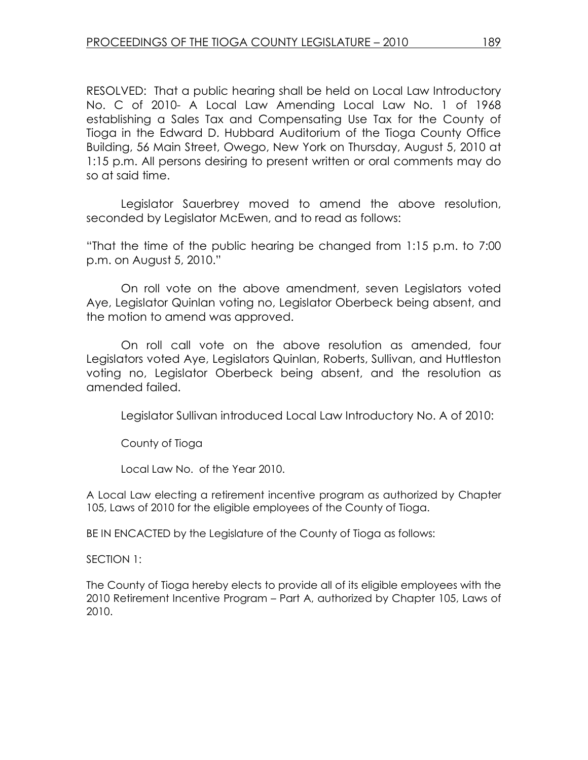RESOLVED: That a public hearing shall be held on Local Law Introductory No. C of 2010- A Local Law Amending Local Law No. 1 of 1968 establishing a Sales Tax and Compensating Use Tax for the County of Tioga in the Edward D. Hubbard Auditorium of the Tioga County Office Building, 56 Main Street, Owego, New York on Thursday, August 5, 2010 at 1:15 p.m. All persons desiring to present written or oral comments may do so at said time.

 Legislator Sauerbrey moved to amend the above resolution, seconded by Legislator McEwen, and to read as follows:

"That the time of the public hearing be changed from 1:15 p.m. to 7:00 p.m. on August 5, 2010."

 On roll vote on the above amendment, seven Legislators voted Aye, Legislator Quinlan voting no, Legislator Oberbeck being absent, and the motion to amend was approved.

 On roll call vote on the above resolution as amended, four Legislators voted Aye, Legislators Quinlan, Roberts, Sullivan, and Huttleston voting no, Legislator Oberbeck being absent, and the resolution as amended failed.

Legislator Sullivan introduced Local Law Introductory No. A of 2010:

County of Tioga

Local Law No. of the Year 2010.

A Local Law electing a retirement incentive program as authorized by Chapter 105, Laws of 2010 for the eligible employees of the County of Tioga.

BE IN ENCACTED by the Legislature of the County of Tioga as follows:

SECTION 1:

The County of Tioga hereby elects to provide all of its eligible employees with the 2010 Retirement Incentive Program – Part A, authorized by Chapter 105, Laws of 2010.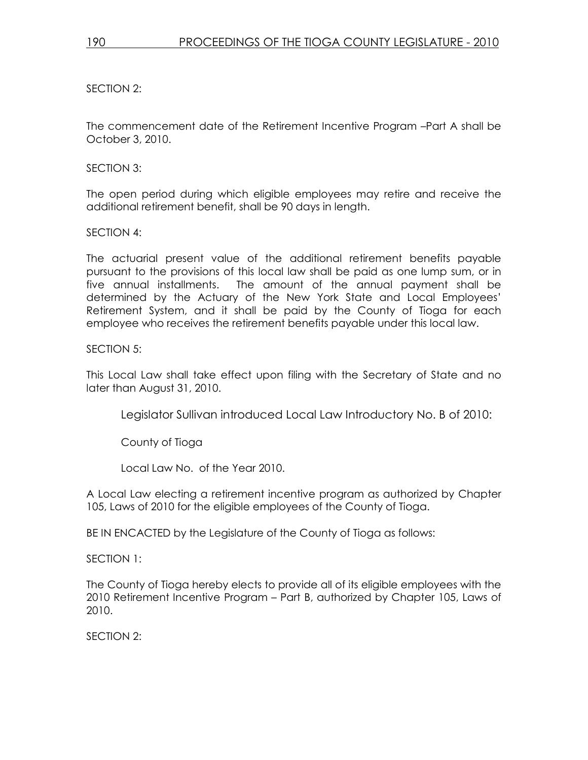SECTION 2:

The commencement date of the Retirement Incentive Program –Part A shall be October 3, 2010.

SECTION 3:

The open period during which eligible employees may retire and receive the additional retirement benefit, shall be 90 days in length.

SECTION 4:

The actuarial present value of the additional retirement benefits payable pursuant to the provisions of this local law shall be paid as one lump sum, or in five annual installments. The amount of the annual payment shall be determined by the Actuary of the New York State and Local Employees' Retirement System, and it shall be paid by the County of Tioga for each employee who receives the retirement benefits payable under this local law.

#### SECTION 5:

This Local Law shall take effect upon filing with the Secretary of State and no later than August 31, 2010.

Legislator Sullivan introduced Local Law Introductory No. B of 2010:

County of Tioga

Local Law No. of the Year 2010.

A Local Law electing a retirement incentive program as authorized by Chapter 105, Laws of 2010 for the eligible employees of the County of Tioga.

BE IN ENCACTED by the Legislature of the County of Tioga as follows:

SECTION 1:

The County of Tioga hereby elects to provide all of its eligible employees with the 2010 Retirement Incentive Program – Part B, authorized by Chapter 105, Laws of 2010.

SECTION 2: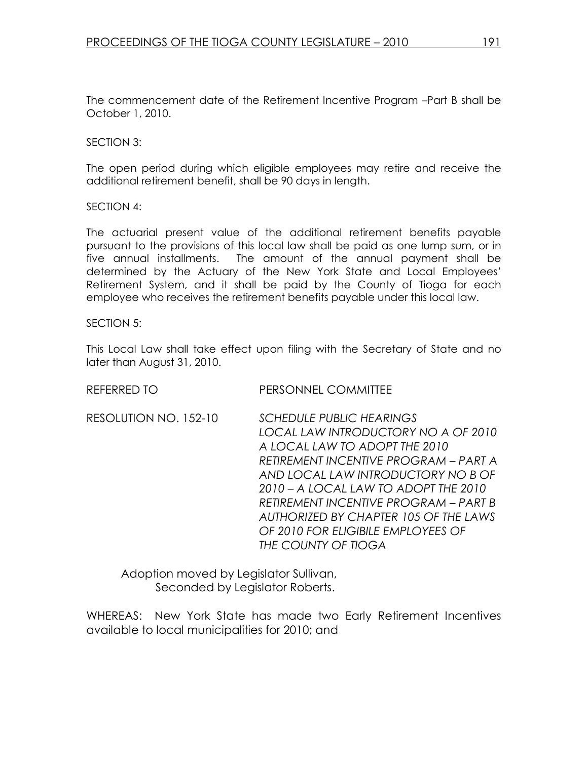The commencement date of the Retirement Incentive Program –Part B shall be October 1, 2010.

#### SECTION 3:

The open period during which eligible employees may retire and receive the additional retirement benefit, shall be 90 days in length.

#### SECTION 4:

The actuarial present value of the additional retirement benefits payable pursuant to the provisions of this local law shall be paid as one lump sum, or in five annual installments. The amount of the annual payment shall be determined by the Actuary of the New York State and Local Employees' Retirement System, and it shall be paid by the County of Tioga for each employee who receives the retirement benefits payable under this local law.

#### SECTION 5:

This Local Law shall take effect upon filing with the Secretary of State and no later than August 31, 2010.

| <b>REFERRED TO</b>    | PERSONNEL COMMITTEE                                                                                                                                                                                                                                                                                                                                                    |
|-----------------------|------------------------------------------------------------------------------------------------------------------------------------------------------------------------------------------------------------------------------------------------------------------------------------------------------------------------------------------------------------------------|
| RESOLUTION NO. 152-10 | SCHEDULE PUBLIC HEARINGS<br>LOCAL LAW INTRODUCTORY NO A OF 2010<br>A LOCAL LAW TO ADOPT THE 2010<br>RETIREMENT INCENTIVE PROGRAM – PART A<br>AND LOCAL LAW INTRODUCTORY NO B OF<br>2010 – A LOCAL LAW TO ADOPT THE 2010<br>RETIREMENT INCENTIVE PROGRAM – PART B<br>AUTHORIZED BY CHAPTER 105 OF THE LAWS<br>OF 2010 FOR ELIGIBILE EMPLOYEES OF<br>THE COUNTY OF TIOGA |
|                       |                                                                                                                                                                                                                                                                                                                                                                        |

 Adoption moved by Legislator Sullivan, Seconded by Legislator Roberts.

WHEREAS: New York State has made two Early Retirement Incentives available to local municipalities for 2010; and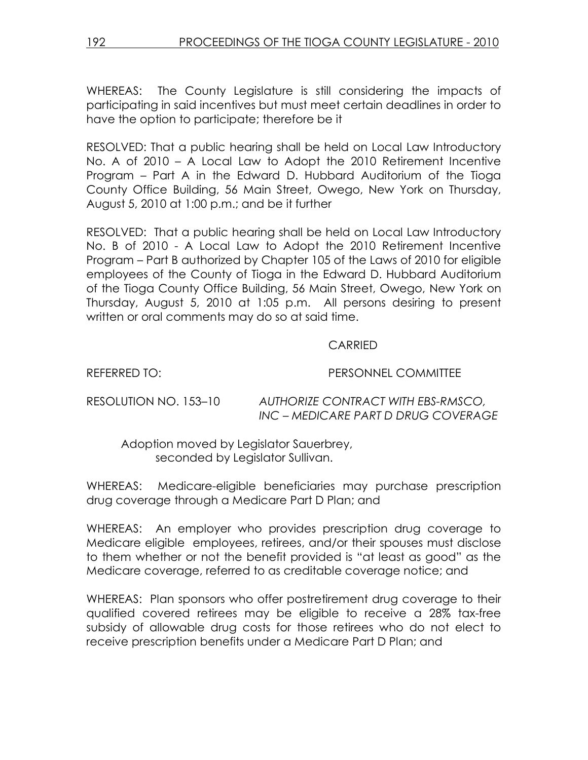WHEREAS: The County Legislature is still considering the impacts of participating in said incentives but must meet certain deadlines in order to have the option to participate; therefore be it

RESOLVED: That a public hearing shall be held on Local Law Introductory No. A of 2010 – A Local Law to Adopt the 2010 Retirement Incentive Program – Part A in the Edward D. Hubbard Auditorium of the Tioga County Office Building, 56 Main Street, Owego, New York on Thursday, August 5, 2010 at 1:00 p.m.; and be it further

RESOLVED: That a public hearing shall be held on Local Law Introductory No. B of 2010 - A Local Law to Adopt the 2010 Retirement Incentive Program – Part B authorized by Chapter 105 of the Laws of 2010 for eligible employees of the County of Tioga in the Edward D. Hubbard Auditorium of the Tioga County Office Building, 56 Main Street, Owego, New York on Thursday, August 5, 2010 at 1:05 p.m. All persons desiring to present written or oral comments may do so at said time.

### CARRIED

REFERRED TO: PERSONNEL COMMITTEE

RESOLUTION NO. 153–10 AUTHORIZE CONTRACT WITH EBS-RMSCO, INC – MEDICARE PART D DRUG COVERAGE

 Adoption moved by Legislator Sauerbrey, seconded by Legislator Sullivan.

WHEREAS: Medicare-eligible beneficiaries may purchase prescription drug coverage through a Medicare Part D Plan; and

WHEREAS: An employer who provides prescription drug coverage to Medicare eligible employees, retirees, and/or their spouses must disclose to them whether or not the benefit provided is "at least as good" as the Medicare coverage, referred to as creditable coverage notice; and

WHEREAS: Plan sponsors who offer postretirement drug coverage to their qualified covered retirees may be eligible to receive a 28% tax-free subsidy of allowable drug costs for those retirees who do not elect to receive prescription benefits under a Medicare Part D Plan; and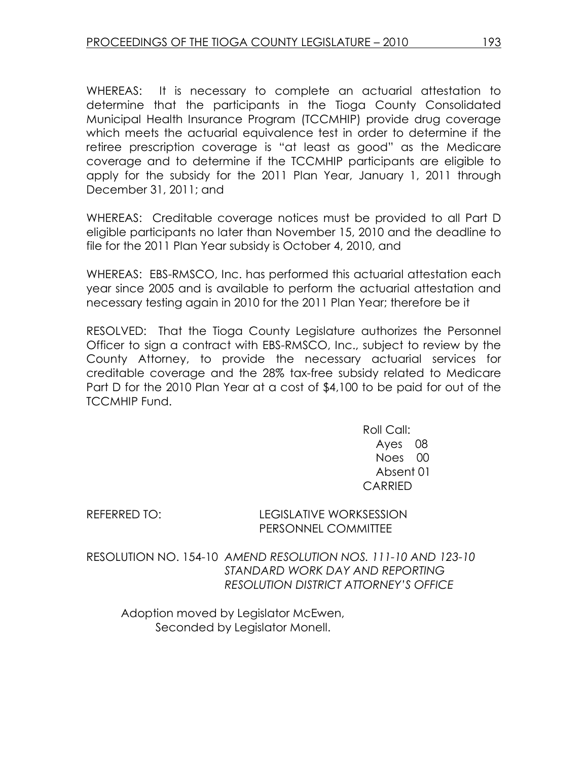WHEREAS: It is necessary to complete an actuarial attestation to determine that the participants in the Tioga County Consolidated Municipal Health Insurance Program (TCCMHIP) provide drug coverage which meets the actuarial equivalence test in order to determine if the retiree prescription coverage is "at least as good" as the Medicare coverage and to determine if the TCCMHIP participants are eligible to apply for the subsidy for the 2011 Plan Year, January 1, 2011 through December 31, 2011; and

WHEREAS: Creditable coverage notices must be provided to all Part D eligible participants no later than November 15, 2010 and the deadline to file for the 2011 Plan Year subsidy is October 4, 2010, and

WHEREAS: EBS-RMSCO, Inc. has performed this actuarial attestation each year since 2005 and is available to perform the actuarial attestation and necessary testing again in 2010 for the 2011 Plan Year; therefore be it

RESOLVED: That the Tioga County Legislature authorizes the Personnel Officer to sign a contract with EBS-RMSCO, Inc., subject to review by the County Attorney, to provide the necessary actuarial services for creditable coverage and the 28% tax-free subsidy related to Medicare Part D for the 2010 Plan Year at a cost of \$4,100 to be paid for out of the TCCMHIP Fund.

> Roll Call: Ayes 08 Noes 00 Absent 01 CARRIED

REFERRED TO: LEGISLATIVE WORKSESSION PERSONNEL COMMITTEE

RESOLUTION NO. 154-10 AMEND RESOLUTION NOS. 111-10 AND 123-10 STANDARD WORK DAY AND REPORTING RESOLUTION DISTRICT ATTORNEY'S OFFICE

 Adoption moved by Legislator McEwen, Seconded by Legislator Monell.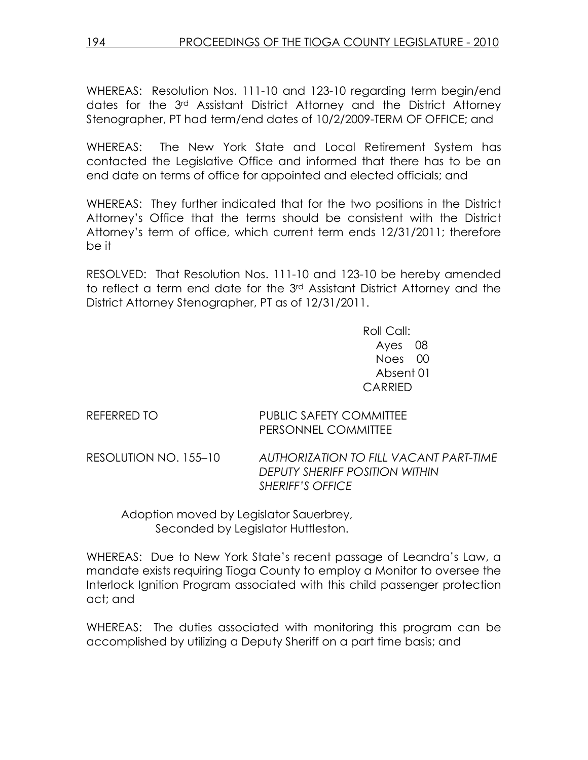WHEREAS: Resolution Nos. 111-10 and 123-10 regarding term begin/end dates for the 3rd Assistant District Attorney and the District Attorney Stenographer, PT had term/end dates of 10/2/2009-TERM OF OFFICE; and

WHEREAS: The New York State and Local Retirement System has contacted the Legislative Office and informed that there has to be an end date on terms of office for appointed and elected officials; and

WHEREAS: They further indicated that for the two positions in the District Attorney's Office that the terms should be consistent with the District Attorney's term of office, which current term ends 12/31/2011; therefore be it

RESOLVED: That Resolution Nos. 111-10 and 123-10 be hereby amended to reflect a term end date for the 3rd Assistant District Attorney and the District Attorney Stenographer, PT as of 12/31/2011.

> Roll Call: Ayes 08 Noes 00 Absent 01 CARRIED

## REFERRED TO PUBLIC SAFETY COMMITTEE PERSONNEL COMMITTEE

RESOLUTION NO. 155–10 AUTHORIZATION TO FILL VACANT PART-TIME DEPUTY SHERIFF POSITION WITHIN SHERIFF'S OFFICE

 Adoption moved by Legislator Sauerbrey, Seconded by Legislator Huttleston.

WHEREAS: Due to New York State's recent passage of Leandra's Law, a mandate exists requiring Tioga County to employ a Monitor to oversee the Interlock Ignition Program associated with this child passenger protection act; and

WHEREAS: The duties associated with monitoring this program can be accomplished by utilizing a Deputy Sheriff on a part time basis; and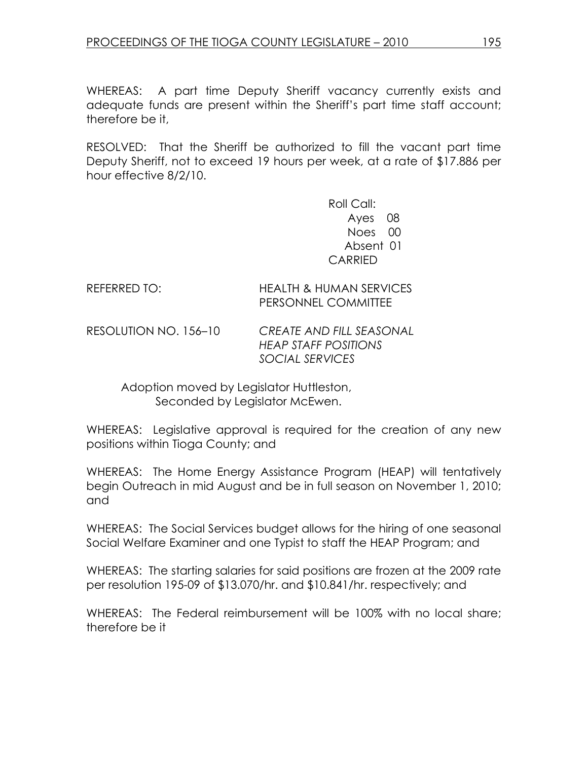WHEREAS: A part time Deputy Sheriff vacancy currently exists and adequate funds are present within the Sheriff's part time staff account; therefore be it,

RESOLVED: That the Sheriff be authorized to fill the vacant part time Deputy Sheriff, not to exceed 19 hours per week, at a rate of \$17.886 per hour effective 8/2/10.

> Roll Call: Ayes 08 Noes 00 Absent 01 CARRIED

### REFERRED TO: HEALTH & HUMAN SERVICES PERSONNEL COMMITTEE

RESOLUTION NO. 156–10 CREATE AND FILL SEASONAL HEAP STAFF POSITIONS SOCIAL SERVICES

> Adoption moved by Legislator Huttleston, Seconded by Legislator McEwen.

WHEREAS: Legislative approval is required for the creation of any new positions within Tioga County; and

WHEREAS: The Home Energy Assistance Program (HEAP) will tentatively begin Outreach in mid August and be in full season on November 1, 2010; and

WHEREAS: The Social Services budget allows for the hiring of one seasonal Social Welfare Examiner and one Typist to staff the HEAP Program; and

WHEREAS: The starting salaries for said positions are frozen at the 2009 rate per resolution 195-09 of \$13.070/hr. and \$10.841/hr. respectively; and

WHEREAS: The Federal reimbursement will be 100% with no local share; therefore be it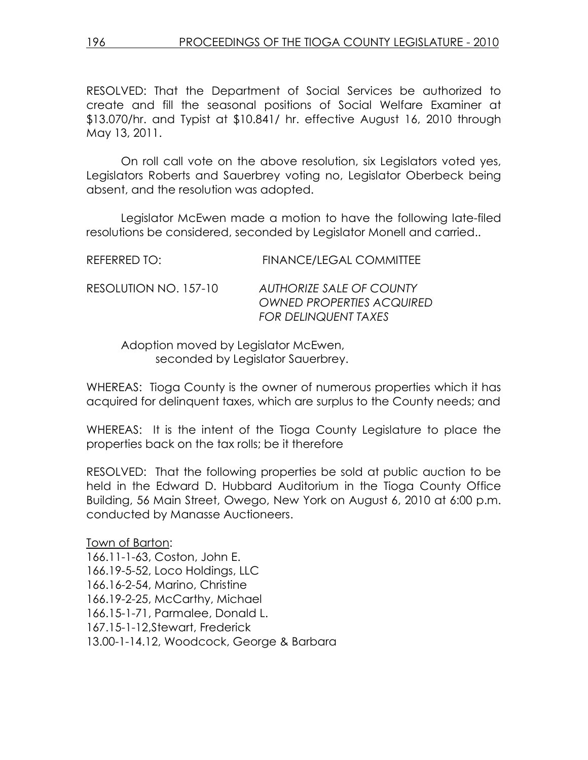RESOLVED: That the Department of Social Services be authorized to create and fill the seasonal positions of Social Welfare Examiner at \$13.070/hr. and Typist at \$10.841/ hr. effective August 16, 2010 through May 13, 2011.

 On roll call vote on the above resolution, six Legislators voted yes, Legislators Roberts and Sauerbrey voting no, Legislator Oberbeck being absent, and the resolution was adopted.

 Legislator McEwen made a motion to have the following late-filed resolutions be considered, seconded by Legislator Monell and carried..

| REFERRED TO:          | <b>FINANCE/LEGAL COMMITTEE</b>                                                              |
|-----------------------|---------------------------------------------------------------------------------------------|
| RESOLUTION NO. 157-10 | AUTHORIZE SALE OF COUNTY<br><b>OWNED PROPERTIES ACQUIRED</b><br><b>FOR DELINQUENT TAXES</b> |

 Adoption moved by Legislator McEwen, seconded by Legislator Sauerbrey.

WHEREAS: Tioga County is the owner of numerous properties which it has acquired for delinquent taxes, which are surplus to the County needs; and

WHEREAS: It is the intent of the Tioga County Legislature to place the properties back on the tax rolls; be it therefore

RESOLVED: That the following properties be sold at public auction to be held in the Edward D. Hubbard Auditorium in the Tioga County Office Building, 56 Main Street, Owego, New York on August 6, 2010 at 6:00 p.m. conducted by Manasse Auctioneers.

Town of Barton: 166.11-1-63, Coston, John E. 166.19-5-52, Loco Holdings, LLC 166.16-2-54, Marino, Christine 166.19-2-25, McCarthy, Michael 166.15-1-71, Parmalee, Donald L. 167.15-1-12,Stewart, Frederick 13.00-1-14.12, Woodcock, George & Barbara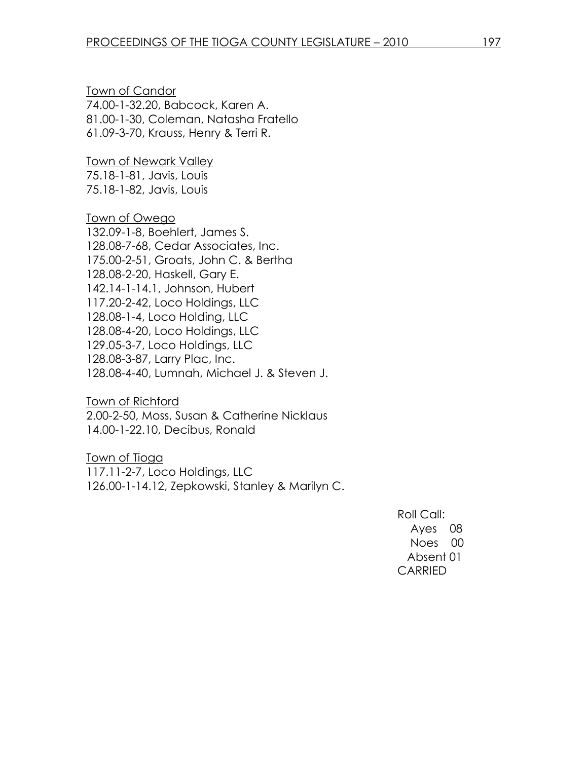Town of Candor 74.00-1-32.20, Babcock, Karen A. 81.00-1-30, Coleman, Natasha Fratello 61.09-3-70, Krauss, Henry & Terri R.

Town of Newark Valley 75.18-1-81, Javis, Louis 75.18-1-82, Javis, Louis

Town of Owego 132.09-1-8, Boehlert, James S. 128.08-7-68, Cedar Associates, Inc. 175.00-2-51, Groats, John C. & Bertha 128.08-2-20, Haskell, Gary E. 142.14-1-14.1, Johnson, Hubert 117.20-2-42, Loco Holdings, LLC 128.08-1-4, Loco Holding, LLC 128.08-4-20, Loco Holdings, LLC 129.05-3-7, Loco Holdings, LLC 128.08-3-87, Larry Plac, Inc. 128.08-4-40, Lumnah, Michael J. & Steven J.

Town of Richford 2.00-2-50, Moss, Susan & Catherine Nicklaus 14.00-1-22.10, Decibus, Ronald

Town of Tioga 117.11-2-7, Loco Holdings, LLC 126.00-1-14.12, Zepkowski, Stanley & Marilyn C.

> Roll Call: Ayes 08 Noes 00 Absent 01 CARRIED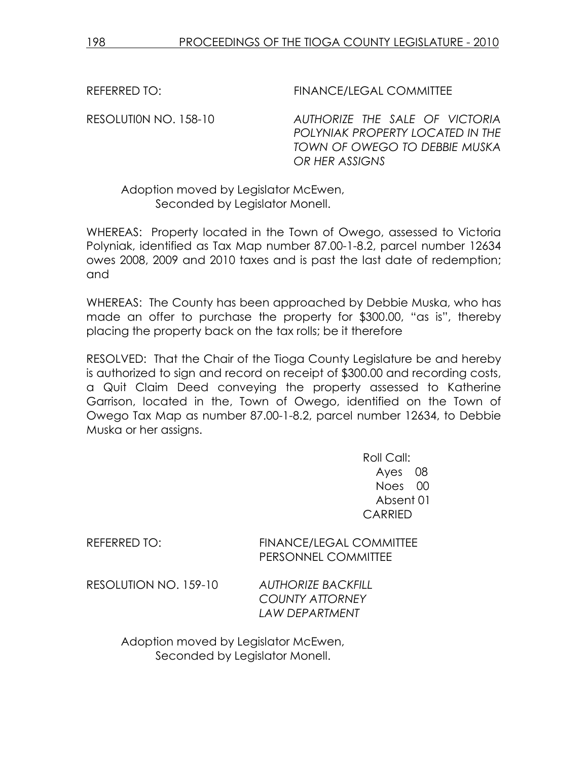REFERRED TO: THE REFERRED TO: THE REFERRED TO:

RESOLUTI0N NO. 158-10 AUTHORIZE THE SALE OF VICTORIA POLYNIAK PROPERTY LOCATED IN THE TOWN OF OWEGO TO DEBBIE MUSKA OR HER ASSIGNS

## Adoption moved by Legislator McEwen, Seconded by Legislator Monell.

WHEREAS: Property located in the Town of Owego, assessed to Victoria Polyniak, identified as Tax Map number 87.00-1-8.2, parcel number 12634 owes 2008, 2009 and 2010 taxes and is past the last date of redemption; and

WHEREAS: The County has been approached by Debbie Muska, who has made an offer to purchase the property for \$300.00, "as is", thereby placing the property back on the tax rolls; be it therefore

RESOLVED: That the Chair of the Tioga County Legislature be and hereby is authorized to sign and record on receipt of \$300.00 and recording costs, a Quit Claim Deed conveying the property assessed to Katherine Garrison, located in the, Town of Owego, identified on the Town of Owego Tax Map as number 87.00-1-8.2, parcel number 12634, to Debbie Muska or her assigns.

> Roll Call: Ayes 08 Noes 00 Absent 01 CARRIED

REFERRED TO: FINANCE/LEGAL COMMITTEE PERSONNEL COMMITTEE

RESOLUTION NO. 159-10 AUTHORIZE BACKFILL

 COUNTY ATTORNEY LAW DEPARTMENT

 Adoption moved by Legislator McEwen, Seconded by Legislator Monell.